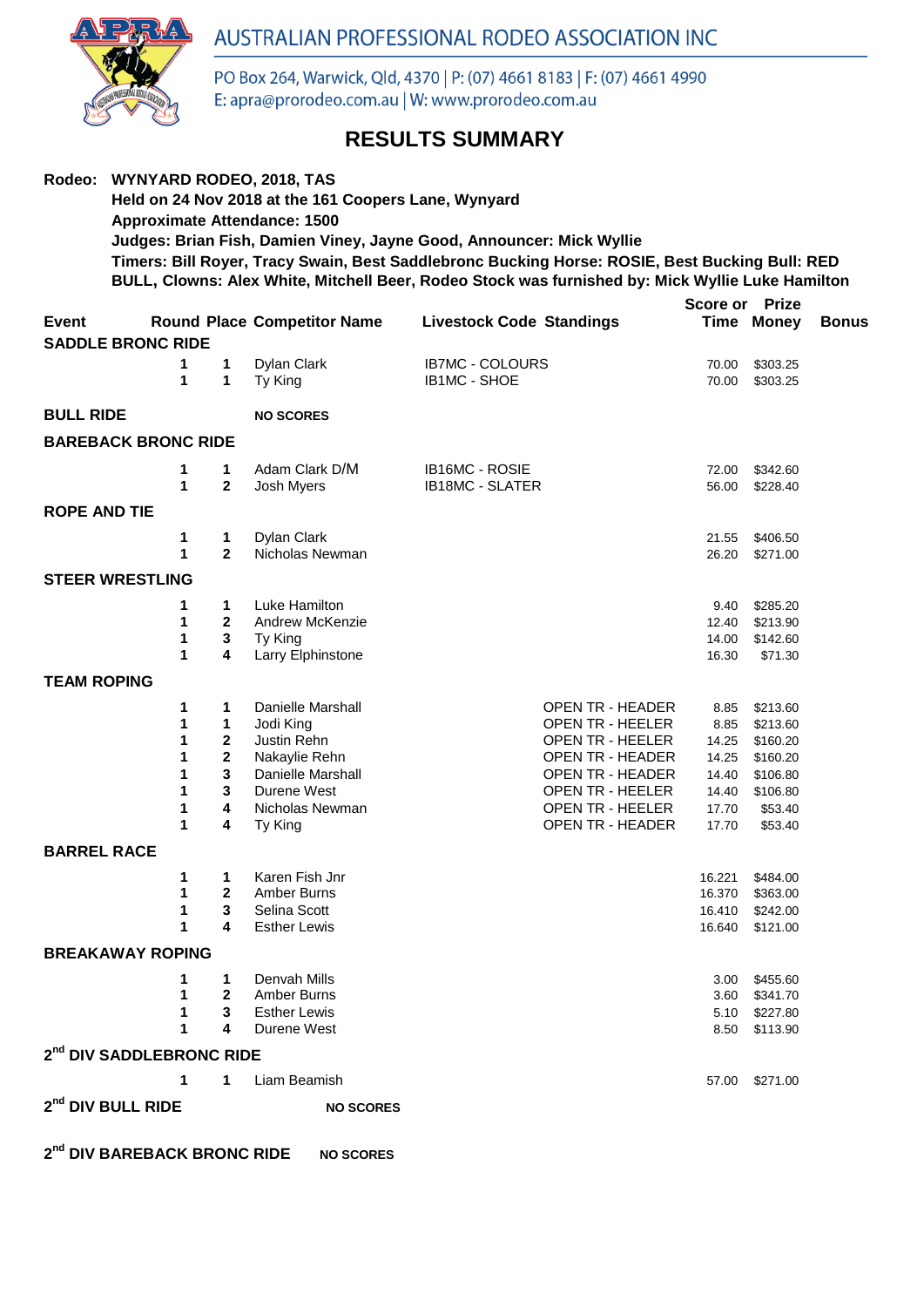

## AUSTRALIAN PROFESSIONAL RODEO ASSOCIATION INC

PO Box 264, Warwick, Qld, 4370 | P: (07) 4661 8183 | F: (07) 4661 4990 E: apra@prorodeo.com.au | W: www.prorodeo.com.au

## **RESULTS SUMMARY**

| Rodeo: WYNYARD RODEO, 2018, TAS<br>Held on 24 Nov 2018 at the 161 Coopers Lane, Wynyard<br><b>Approximate Attendance: 1500</b><br>Judges: Brian Fish, Damien Viney, Jayne Good, Announcer: Mick Wyllie<br>Timers: Bill Royer, Tracy Swain, Best Saddlebronc Bucking Horse: ROSIE, Best Bucking Bull: RED<br>BULL, Clowns: Alex White, Mitchell Beer, Rodeo Stock was furnished by: Mick Wyllie Luke Hamilton |                                         |                                      |                                                           |                                                                                                                                  |                                                                                                                                                                                          |                                                           |                                                                                                  |              |
|--------------------------------------------------------------------------------------------------------------------------------------------------------------------------------------------------------------------------------------------------------------------------------------------------------------------------------------------------------------------------------------------------------------|-----------------------------------------|--------------------------------------|-----------------------------------------------------------|----------------------------------------------------------------------------------------------------------------------------------|------------------------------------------------------------------------------------------------------------------------------------------------------------------------------------------|-----------------------------------------------------------|--------------------------------------------------------------------------------------------------|--------------|
| Event                                                                                                                                                                                                                                                                                                                                                                                                        | <b>SADDLE BRONC RIDE</b>                |                                      |                                                           | <b>Round Place Competitor Name</b>                                                                                               | <b>Livestock Code Standings</b>                                                                                                                                                          | <b>Score or Prize</b>                                     | <b>Time Money</b>                                                                                | <b>Bonus</b> |
|                                                                                                                                                                                                                                                                                                                                                                                                              |                                         | 1<br>1                               | 1<br>1                                                    | Dylan Clark<br>Ty King                                                                                                           | <b>IB7MC - COLOURS</b><br>IB1MC - SHOE                                                                                                                                                   | 70.00<br>70.00                                            | \$303.25<br>\$303.25                                                                             |              |
| <b>BULL RIDE</b>                                                                                                                                                                                                                                                                                                                                                                                             |                                         |                                      |                                                           | <b>NO SCORES</b>                                                                                                                 |                                                                                                                                                                                          |                                                           |                                                                                                  |              |
|                                                                                                                                                                                                                                                                                                                                                                                                              | <b>BAREBACK BRONC RIDE</b>              |                                      |                                                           |                                                                                                                                  |                                                                                                                                                                                          |                                                           |                                                                                                  |              |
|                                                                                                                                                                                                                                                                                                                                                                                                              |                                         | 1<br>1                               | 1<br>$\mathbf{2}$                                         | Adam Clark D/M<br>Josh Myers                                                                                                     | IB16MC - ROSIE<br><b>IB18MC - SLATER</b>                                                                                                                                                 | 72.00<br>56.00                                            | \$342.60<br>\$228.40                                                                             |              |
| <b>ROPE AND TIE</b>                                                                                                                                                                                                                                                                                                                                                                                          |                                         |                                      |                                                           |                                                                                                                                  |                                                                                                                                                                                          |                                                           |                                                                                                  |              |
|                                                                                                                                                                                                                                                                                                                                                                                                              |                                         | 1<br>1                               | 1<br>$\mathbf{2}$                                         | Dylan Clark<br>Nicholas Newman                                                                                                   |                                                                                                                                                                                          | 21.55<br>26.20                                            | \$406.50<br>\$271.00                                                                             |              |
|                                                                                                                                                                                                                                                                                                                                                                                                              | <b>STEER WRESTLING</b>                  |                                      |                                                           |                                                                                                                                  |                                                                                                                                                                                          |                                                           |                                                                                                  |              |
|                                                                                                                                                                                                                                                                                                                                                                                                              |                                         | 1<br>1<br>1<br>1                     | 1<br>$\mathbf 2$<br>3<br>4                                | Luke Hamilton<br>Andrew McKenzie<br>Ty King<br>Larry Elphinstone                                                                 |                                                                                                                                                                                          | 9.40<br>12.40<br>14.00<br>16.30                           | \$285.20<br>\$213.90<br>\$142.60<br>\$71.30                                                      |              |
| <b>TEAM ROPING</b>                                                                                                                                                                                                                                                                                                                                                                                           |                                         |                                      |                                                           |                                                                                                                                  |                                                                                                                                                                                          |                                                           |                                                                                                  |              |
|                                                                                                                                                                                                                                                                                                                                                                                                              |                                         | 1<br>1<br>1<br>1<br>1<br>1<br>1<br>1 | 1<br>1<br>2<br>$\mathbf 2$<br>3<br>$\mathbf{3}$<br>4<br>4 | Danielle Marshall<br>Jodi King<br>Justin Rehn<br>Nakaylie Rehn<br>Danielle Marshall<br>Durene West<br>Nicholas Newman<br>Ty King | <b>OPEN TR - HEADER</b><br>OPEN TR - HEELER<br><b>OPEN TR - HEELER</b><br><b>OPEN TR - HEADER</b><br>OPEN TR - HEADER<br>OPEN TR - HEELER<br>OPEN TR - HEELER<br><b>OPEN TR - HEADER</b> | 8.85<br>8.85<br>14.25<br>14.25<br>14.40<br>17.70<br>17.70 | \$213.60<br>\$213.60<br>\$160.20<br>\$160.20<br>\$106.80<br>14.40 \$106.80<br>\$53.40<br>\$53.40 |              |
| <b>BARREL RACE</b>                                                                                                                                                                                                                                                                                                                                                                                           |                                         |                                      |                                                           |                                                                                                                                  |                                                                                                                                                                                          |                                                           |                                                                                                  |              |
|                                                                                                                                                                                                                                                                                                                                                                                                              |                                         | 1<br>1<br>1<br>1                     | 1<br>$\mathbf{2}$<br>3<br>4                               | Karen Fish Jnr<br><b>Amber Burns</b><br>Selina Scott<br><b>Esther Lewis</b>                                                      |                                                                                                                                                                                          | 16.221<br>16.370<br>16.410<br>16.640                      | \$484.00<br>\$363.00<br>\$242.00<br>\$121.00                                                     |              |
|                                                                                                                                                                                                                                                                                                                                                                                                              | <b>BREAKAWAY ROPING</b>                 |                                      |                                                           |                                                                                                                                  |                                                                                                                                                                                          |                                                           |                                                                                                  |              |
|                                                                                                                                                                                                                                                                                                                                                                                                              |                                         | 1<br>1<br>1<br>1                     | 1<br>$\mathbf{2}$<br>3<br>4                               | Denvah Mills<br>Amber Burns<br><b>Esther Lewis</b><br>Durene West                                                                |                                                                                                                                                                                          | 3.00<br>5.10<br>8.50                                      | \$455.60<br>3.60 \$341.70<br>\$227.80<br>\$113.90                                                |              |
|                                                                                                                                                                                                                                                                                                                                                                                                              | 2 <sup>nd</sup> DIV SADDLEBRONC RIDE    |                                      |                                                           |                                                                                                                                  |                                                                                                                                                                                          |                                                           |                                                                                                  |              |
|                                                                                                                                                                                                                                                                                                                                                                                                              |                                         | 1                                    | 1                                                         | Liam Beamish                                                                                                                     |                                                                                                                                                                                          | 57.00                                                     | \$271.00                                                                                         |              |
|                                                                                                                                                                                                                                                                                                                                                                                                              | 2 <sup>nd</sup> DIV BULL RIDE           |                                      |                                                           | <b>NO SCORES</b>                                                                                                                 |                                                                                                                                                                                          |                                                           |                                                                                                  |              |
|                                                                                                                                                                                                                                                                                                                                                                                                              | 2 <sup>nd</sup> DIV BAREBACK BRONC RIDE |                                      |                                                           | <b>NO SCORES</b>                                                                                                                 |                                                                                                                                                                                          |                                                           |                                                                                                  |              |